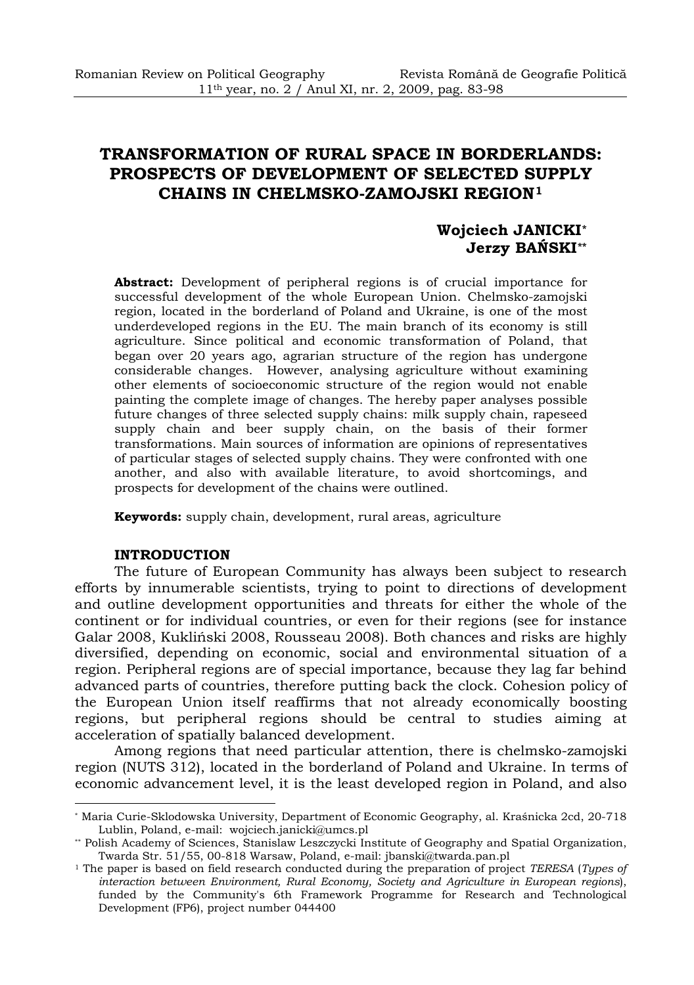# **TRANSFORMATION OF RURAL SPACE IN BORDERLANDS: PROSPECTS OF DEVELOPMENT OF SELECTED SUPPLY CHAINS IN CHELMSKO-ZAMOJSKI REGION[1](#page-0-0)**

# **Wojciech JANICKI[\\*](#page-0-1) Jerzy BAŃSKI[\\*\\*](#page-0-2)**

**Abstract:** Development of peripheral regions is of crucial importance for successful development of the whole European Union. Chelmsko-zamojski region, located in the borderland of Poland and Ukraine, is one of the most underdeveloped regions in the EU. The main branch of its economy is still agriculture. Since political and economic transformation of Poland, that began over 20 years ago, agrarian structure of the region has undergone considerable changes. However, analysing agriculture without examining other elements of socioeconomic structure of the region would not enable painting the complete image of changes. The hereby paper analyses possible future changes of three selected supply chains: milk supply chain, rapeseed supply chain and beer supply chain, on the basis of their former transformations. Main sources of information are opinions of representatives of particular stages of selected supply chains. They were confronted with one another, and also with available literature, to avoid shortcomings, and prospects for development of the chains were outlined.

**Keywords:** supply chain, development, rural areas, agriculture

#### **INTRODUCTION**

l

The future of European Community has always been subject to research efforts by innumerable scientists, trying to point to directions of development and outline development opportunities and threats for either the whole of the continent or for individual countries, or even for their regions (see for instance Galar 2008, Kukliński 2008, Rousseau 2008). Both chances and risks are highly diversified, depending on economic, social and environmental situation of a region. Peripheral regions are of special importance, because they lag far behind advanced parts of countries, therefore putting back the clock. Cohesion policy of the European Union itself reaffirms that not already economically boosting regions, but peripheral regions should be central to studies aiming at acceleration of spatially balanced development.

Among regions that need particular attention, there is chelmsko-zamojski region (NUTS 312), located in the borderland of Poland and Ukraine. In terms of economic advancement level, it is the least developed region in Poland, and also

<span id="page-0-0"></span><sup>\*</sup> Maria Curie-Sklodowska University, Department of Economic Geography, al. Kraśnicka 2cd, 20-718

<sup>&</sup>lt;sup>\*</sup> Polish Academy of Sciences, Stanislaw Leszczycki Institute of Geography and Spatial Organization, Twarda Str. 51/55, 00-818 Warsaw, Poland, e-mail: jbanski@twarda.pan.pl

<span id="page-0-2"></span><span id="page-0-1"></span><sup>&</sup>lt;sup>1</sup> The paper is based on field research conducted during the preparation of project *TERESA* (*Types of interaction between Environment, Rural Economy, Society and Agriculture in European regions*), funded by the Community's 6th Framework Programme for Research and Technological Development (FP6), project number 044400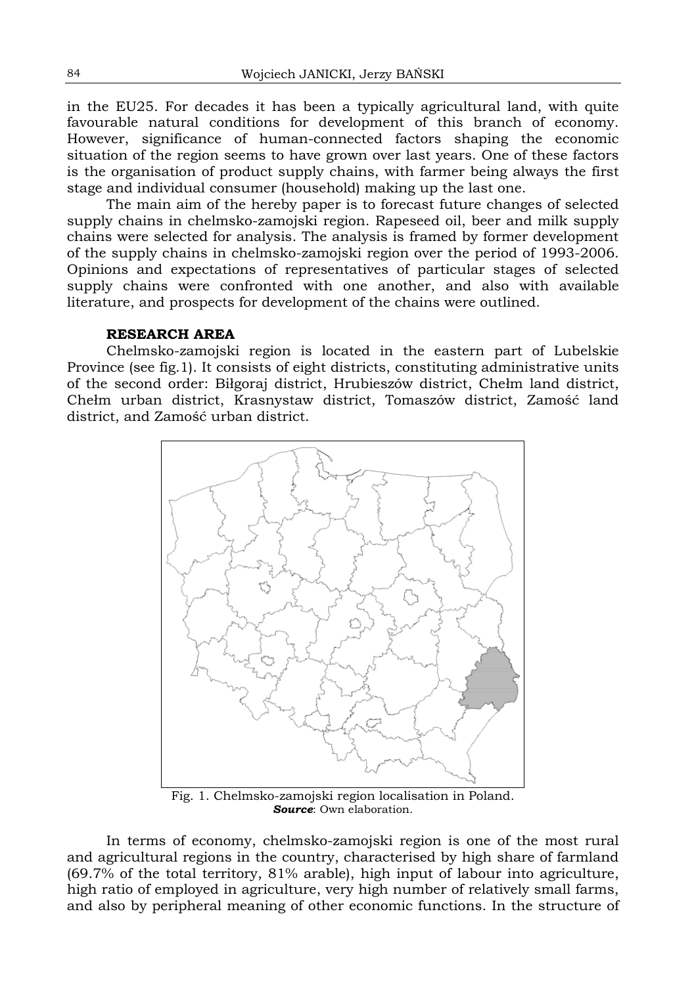in the EU25. For decades it has been a typically agricultural land, with quite favourable natural conditions for development of this branch of economy. However, significance of human-connected factors shaping the economic situation of the region seems to have grown over last years. One of these factors is the organisation of product supply chains, with farmer being always the first stage and individual consumer (household) making up the last one.

The main aim of the hereby paper is to forecast future changes of selected supply chains in chelmsko-zamojski region. Rapeseed oil, beer and milk supply chains were selected for analysis. The analysis is framed by former development of the supply chains in chelmsko-zamojski region over the period of 1993-2006. Opinions and expectations of representatives of particular stages of selected supply chains were confronted with one another, and also with available literature, and prospects for development of the chains were outlined.

## **RESEARCH AREA**

Chelmsko-zamojski region is located in the eastern part of Lubelskie Province (see fig.1). It consists of eight districts, constituting administrative units of the second order: Biłgoraj district, Hrubieszów district, Chełm land district, Chełm urban district, Krasnystaw district, Tomaszów district, Zamość land district, and Zamość urban district.



Fig. 1. Chelmsko-zamojski region localisation in Poland. *Source*: Own elaboration.

In terms of economy, chelmsko-zamojski region is one of the most rural and agricultural regions in the country, characterised by high share of farmland (69.7% of the total territory, 81% arable), high input of labour into agriculture, high ratio of employed in agriculture, very high number of relatively small farms, and also by peripheral meaning of other economic functions. In the structure of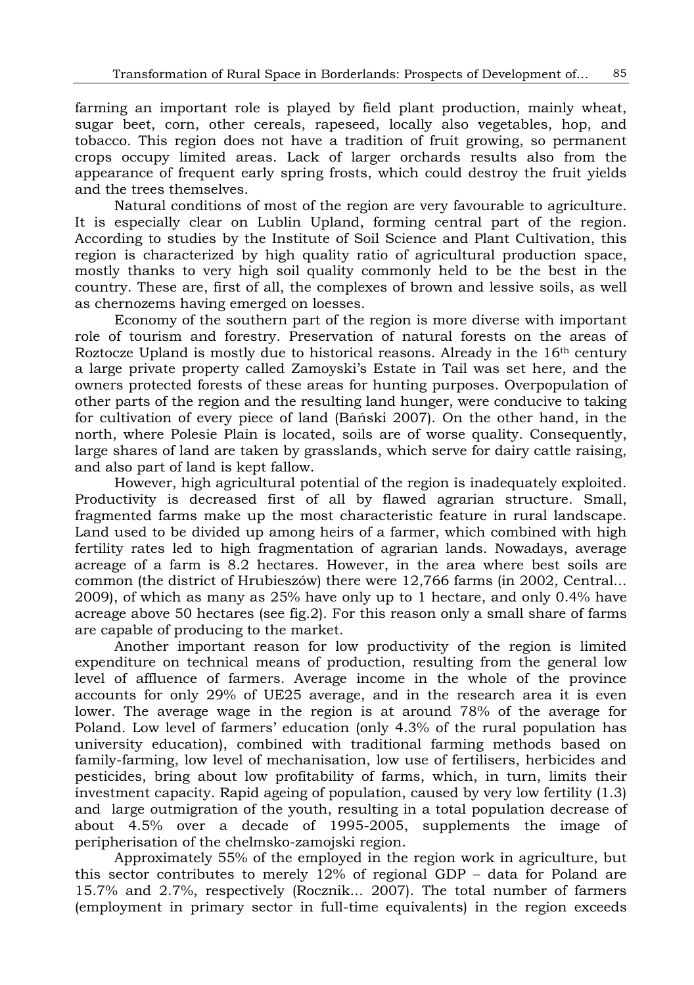farming an important role is played by field plant production, mainly wheat, sugar beet, corn, other cereals, rapeseed, locally also vegetables, hop, and tobacco. This region does not have a tradition of fruit growing, so permanent crops occupy limited areas. Lack of larger orchards results also from the appearance of frequent early spring frosts, which could destroy the fruit yields and the trees themselves.

Natural conditions of most of the region are very favourable to agriculture. It is especially clear on Lublin Upland, forming central part of the region. According to studies by the Institute of Soil Science and Plant Cultivation, this region is characterized by high quality ratio of agricultural production space, mostly thanks to very high soil quality commonly held to be the best in the country. These are, first of all, the complexes of brown and lessive soils, as well as chernozems having emerged on loesses.

Economy of the southern part of the region is more diverse with important role of tourism and forestry. Preservation of natural forests on the areas of Roztocze Upland is mostly due to historical reasons. Already in the 16th century a large private property called Zamoyski's Estate in Tail was set here, and the owners protected forests of these areas for hunting purposes. Overpopulation of other parts of the region and the resulting land hunger, were conducive to taking for cultivation of every piece of land (Bański 2007). On the other hand, in the north, where Polesie Plain is located, soils are of worse quality. Consequently, large shares of land are taken by grasslands, which serve for dairy cattle raising, and also part of land is kept fallow.

However, high agricultural potential of the region is inadequately exploited. Productivity is decreased first of all by flawed agrarian structure. Small, fragmented farms make up the most characteristic feature in rural landscape. Land used to be divided up among heirs of a farmer, which combined with high fertility rates led to high fragmentation of agrarian lands. Nowadays, average acreage of a farm is 8.2 hectares. However, in the area where best soils are common (the district of Hrubieszów) there were 12,766 farms (in 2002, Central... 2009), of which as many as 25% have only up to 1 hectare, and only 0.4% have acreage above 50 hectares (see fig.2). For this reason only a small share of farms are capable of producing to the market.

Another important reason for low productivity of the region is limited expenditure on technical means of production, resulting from the general low level of affluence of farmers. Average income in the whole of the province accounts for only 29% of UE25 average, and in the research area it is even lower. The average wage in the region is at around 78% of the average for Poland. Low level of farmers' education (only 4.3% of the rural population has university education), combined with traditional farming methods based on family-farming, low level of mechanisation, low use of fertilisers, herbicides and pesticides, bring about low profitability of farms, which, in turn, limits their investment capacity. Rapid ageing of population, caused by very low fertility (1.3) and large outmigration of the youth, resulting in a total population decrease of about 4.5% over a decade of 1995-2005, supplements the image of peripherisation of the chelmsko-zamojski region.

Approximately 55% of the employed in the region work in agriculture, but this sector contributes to merely 12% of regional GDP – data for Poland are 15.7% and 2.7%, respectively (Rocznik... 2007). The total number of farmers (employment in primary sector in full-time equivalents) in the region exceeds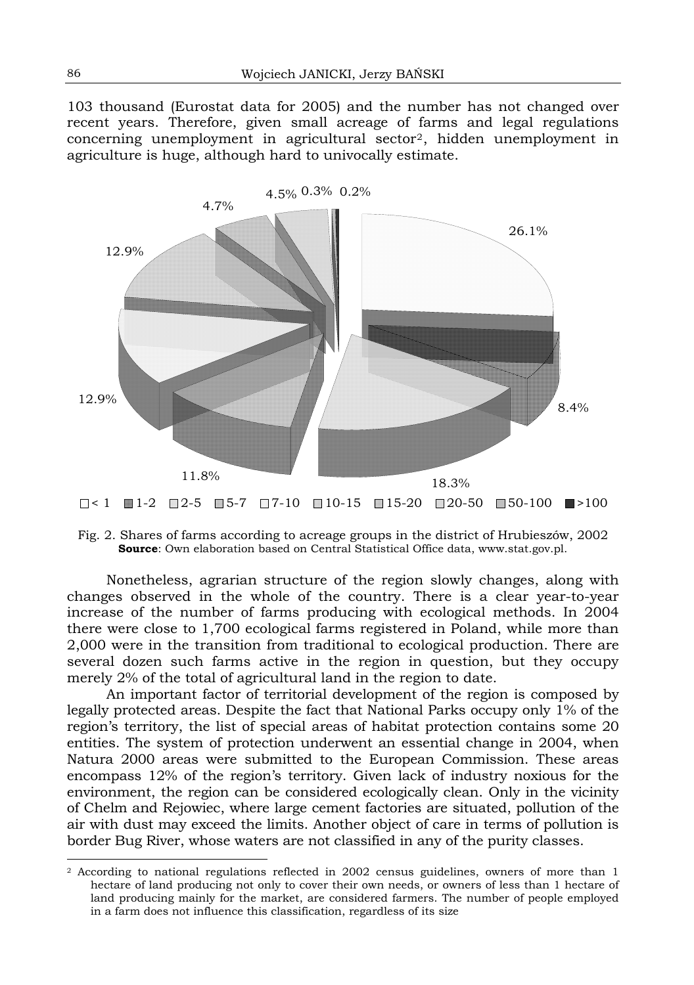103 thousand (Eurostat data for 2005) and the number has not changed over recent years. Therefore, given small acreage of farms and legal regulations concerning unemployment in agricultural sector[2](#page-3-0), hidden unemployment in agriculture is huge, although hard to univocally estimate.



Fig. 2. Shares of farms according to acreage groups in the district of Hrubieszów, 2002 **Source**: Own elaboration based on Central Statistical Office data, www.stat.gov.pl.

Nonetheless, agrarian structure of the region slowly changes, along with changes observed in the whole of the country. There is a clear year-to-year increase of the number of farms producing with ecological methods. In 2004 there were close to 1,700 ecological farms registered in Poland, while more than 2,000 were in the transition from traditional to ecological production. There are several dozen such farms active in the region in question, but they occupy merely 2% of the total of agricultural land in the region to date.

An important factor of territorial development of the region is composed by legally protected areas. Despite the fact that National Parks occupy only 1% of the region's territory, the list of special areas of habitat protection contains some 20 entities. The system of protection underwent an essential change in 2004, when Natura 2000 areas were submitted to the European Commission. These areas encompass 12% of the region's territory. Given lack of industry noxious for the environment, the region can be considered ecologically clean. Only in the vicinity of Chelm and Rejowiec, where large cement factories are situated, pollution of the air with dust may exceed the limits. Another object of care in terms of pollution is border Bug River, whose waters are not classified in any of the purity classes.

l

<span id="page-3-0"></span><sup>2</sup> According to national regulations reflected in 2002 census guidelines, owners of more than 1 hectare of land producing not only to cover their own needs, or owners of less than 1 hectare of land producing mainly for the market, are considered farmers. The number of people employed in a farm does not influence this classification, regardless of its size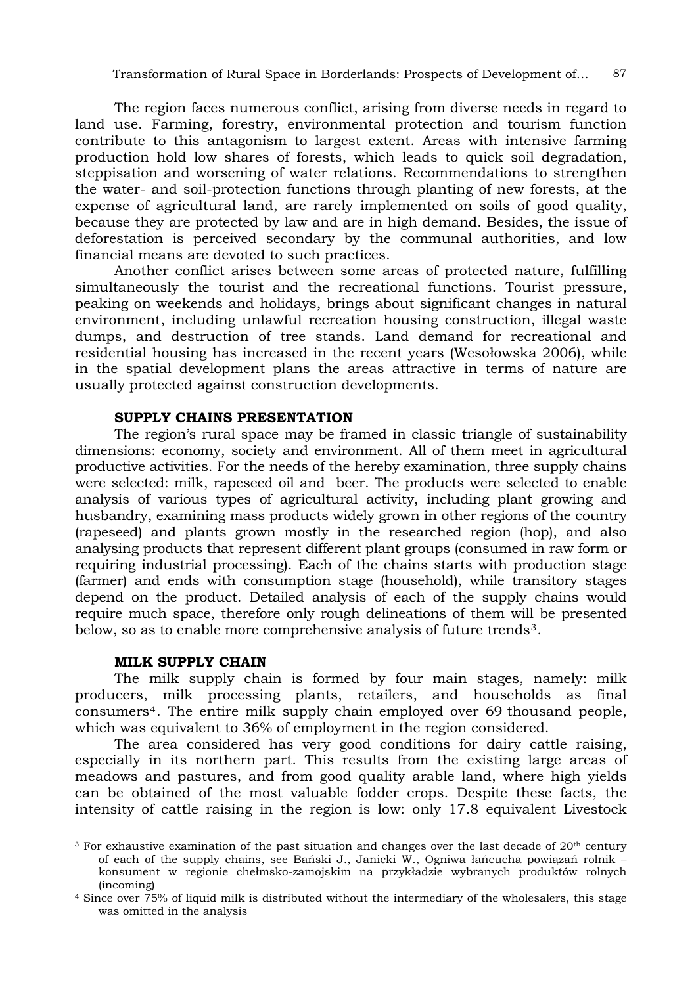The region faces numerous conflict, arising from diverse needs in regard to land use. Farming, forestry, environmental protection and tourism function contribute to this antagonism to largest extent. Areas with intensive farming production hold low shares of forests, which leads to quick soil degradation, steppisation and worsening of water relations. Recommendations to strengthen the water- and soil-protection functions through planting of new forests, at the expense of agricultural land, are rarely implemented on soils of good quality, because they are protected by law and are in high demand. Besides, the issue of deforestation is perceived secondary by the communal authorities, and low financial means are devoted to such practices.

Another conflict arises between some areas of protected nature, fulfilling simultaneously the tourist and the recreational functions. Tourist pressure, peaking on weekends and holidays, brings about significant changes in natural environment, including unlawful recreation housing construction, illegal waste dumps, and destruction of tree stands. Land demand for recreational and residential housing has increased in the recent years (Wesołowska 2006), while in the spatial development plans the areas attractive in terms of nature are usually protected against construction developments.

## **SUPPLY CHAINS PRESENTATION**

The region's rural space may be framed in classic triangle of sustainability dimensions: economy, society and environment. All of them meet in agricultural productive activities. For the needs of the hereby examination, three supply chains were selected: milk, rapeseed oil and beer. The products were selected to enable analysis of various types of agricultural activity, including plant growing and husbandry, examining mass products widely grown in other regions of the country (rapeseed) and plants grown mostly in the researched region (hop), and also analysing products that represent different plant groups (consumed in raw form or requiring industrial processing). Each of the chains starts with production stage (farmer) and ends with consumption stage (household), while transitory stages depend on the product. Detailed analysis of each of the supply chains would require much space, therefore only rough delineations of them will be presented below, so as to enable more comprehensive analysis of future trends[3](#page-4-0).

#### **MILK SUPPLY CHAIN**

l

The milk supply chain is formed by four main stages, namely: milk producers, milk processing plants, retailers, and households as final consumers[4](#page-4-1). The entire milk supply chain employed over 69 thousand people, which was equivalent to 36% of employment in the region considered.

The area considered has very good conditions for dairy cattle raising, especially in its northern part. This results from the existing large areas of meadows and pastures, and from good quality arable land, where high yields can be obtained of the most valuable fodder crops. Despite these facts, the intensity of cattle raising in the region is low: only 17.8 equivalent Livestock

<span id="page-4-0"></span><sup>&</sup>lt;sup>3</sup> For exhaustive examination of the past situation and changes over the last decade of 20<sup>th</sup> century of each of the supply chains, see Bański J., Janicki W., Ogniwa łańcucha powiązań rolnik – konsument w regionie chełmsko-zamojskim na przykładzie wybranych produktów rolnych (incoming) 4 Since over 75% of liquid milk is distributed without the intermediary of the wholesalers, this stage

<span id="page-4-1"></span>was omitted in the analysis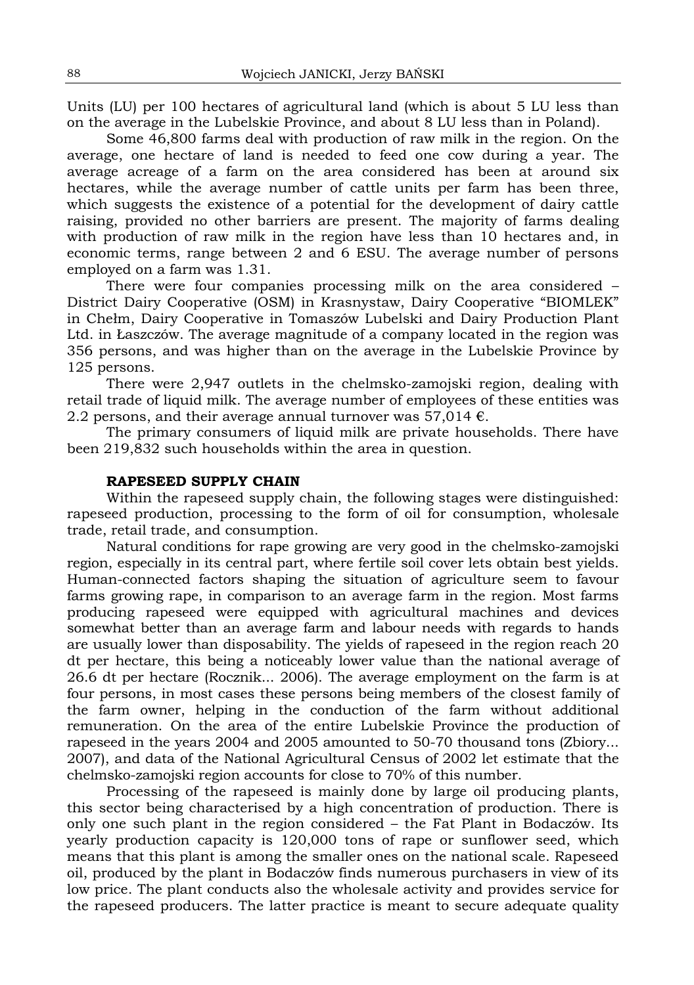Units (LU) per 100 hectares of agricultural land (which is about 5 LU less than on the average in the Lubelskie Province, and about 8 LU less than in Poland).

Some 46,800 farms deal with production of raw milk in the region. On the average, one hectare of land is needed to feed one cow during a year. The average acreage of a farm on the area considered has been at around six hectares, while the average number of cattle units per farm has been three, which suggests the existence of a potential for the development of dairy cattle raising, provided no other barriers are present. The majority of farms dealing with production of raw milk in the region have less than 10 hectares and, in economic terms, range between 2 and 6 ESU. The average number of persons employed on a farm was 1.31.

There were four companies processing milk on the area considered – District Dairy Cooperative (OSM) in Krasnystaw, Dairy Cooperative "BIOMLEK" in Chełm, Dairy Cooperative in Tomaszów Lubelski and Dairy Production Plant Ltd. in Łaszczów. The average magnitude of a company located in the region was 356 persons, and was higher than on the average in the Lubelskie Province by 125 persons.

There were 2,947 outlets in the chelmsko-zamojski region, dealing with retail trade of liquid milk. The average number of employees of these entities was 2.2 persons, and their average annual turnover was  $57,014 \in$ .

The primary consumers of liquid milk are private households. There have been 219,832 such households within the area in question.

#### **RAPESEED SUPPLY CHAIN**

Within the rapeseed supply chain, the following stages were distinguished: rapeseed production, processing to the form of oil for consumption, wholesale trade, retail trade, and consumption.

Natural conditions for rape growing are very good in the chelmsko-zamojski region, especially in its central part, where fertile soil cover lets obtain best yields. Human-connected factors shaping the situation of agriculture seem to favour farms growing rape, in comparison to an average farm in the region. Most farms producing rapeseed were equipped with agricultural machines and devices somewhat better than an average farm and labour needs with regards to hands are usually lower than disposability. The yields of rapeseed in the region reach 20 dt per hectare, this being a noticeably lower value than the national average of 26.6 dt per hectare (Rocznik... 2006). The average employment on the farm is at four persons, in most cases these persons being members of the closest family of the farm owner, helping in the conduction of the farm without additional remuneration. On the area of the entire Lubelskie Province the production of rapeseed in the years 2004 and 2005 amounted to 50-70 thousand tons (Zbiory... 2007), and data of the National Agricultural Census of 2002 let estimate that the chelmsko-zamojski region accounts for close to 70% of this number.

Processing of the rapeseed is mainly done by large oil producing plants, this sector being characterised by a high concentration of production. There is only one such plant in the region considered – the Fat Plant in Bodaczów. Its yearly production capacity is 120,000 tons of rape or sunflower seed, which means that this plant is among the smaller ones on the national scale. Rapeseed oil, produced by the plant in Bodaczów finds numerous purchasers in view of its low price. The plant conducts also the wholesale activity and provides service for the rapeseed producers. The latter practice is meant to secure adequate quality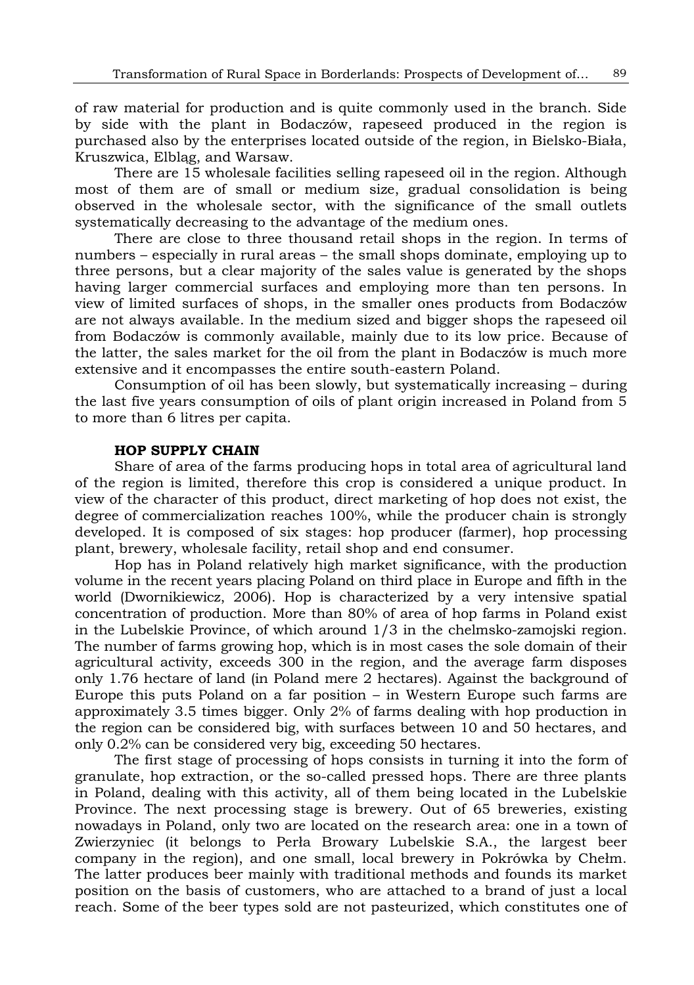of raw material for production and is quite commonly used in the branch. Side by side with the plant in Bodaczów, rapeseed produced in the region is purchased also by the enterprises located outside of the region, in Bielsko-Biała, Kruszwica, Elbląg, and Warsaw.

There are 15 wholesale facilities selling rapeseed oil in the region. Although most of them are of small or medium size, gradual consolidation is being observed in the wholesale sector, with the significance of the small outlets systematically decreasing to the advantage of the medium ones.

There are close to three thousand retail shops in the region. In terms of numbers – especially in rural areas – the small shops dominate, employing up to three persons, but a clear majority of the sales value is generated by the shops having larger commercial surfaces and employing more than ten persons. In view of limited surfaces of shops, in the smaller ones products from Bodaczów are not always available. In the medium sized and bigger shops the rapeseed oil from Bodaczów is commonly available, mainly due to its low price. Because of the latter, the sales market for the oil from the plant in Bodaczów is much more extensive and it encompasses the entire south-eastern Poland.

Consumption of oil has been slowly, but systematically increasing – during the last five years consumption of oils of plant origin increased in Poland from 5 to more than 6 litres per capita.

#### **HOP SUPPLY CHAIN**

Share of area of the farms producing hops in total area of agricultural land of the region is limited, therefore this crop is considered a unique product. In view of the character of this product, direct marketing of hop does not exist, the degree of commercialization reaches 100%, while the producer chain is strongly developed. It is composed of six stages: hop producer (farmer), hop processing plant, brewery, wholesale facility, retail shop and end consumer.

Hop has in Poland relatively high market significance, with the production volume in the recent years placing Poland on third place in Europe and fifth in the world (Dwornikiewicz, 2006). Hop is characterized by a very intensive spatial concentration of production. More than 80% of area of hop farms in Poland exist in the Lubelskie Province, of which around 1/3 in the chelmsko-zamojski region. The number of farms growing hop, which is in most cases the sole domain of their agricultural activity, exceeds 300 in the region, and the average farm disposes only 1.76 hectare of land (in Poland mere 2 hectares). Against the background of Europe this puts Poland on a far position – in Western Europe such farms are approximately 3.5 times bigger. Only 2% of farms dealing with hop production in the region can be considered big, with surfaces between 10 and 50 hectares, and only 0.2% can be considered very big, exceeding 50 hectares.

The first stage of processing of hops consists in turning it into the form of granulate, hop extraction, or the so-called pressed hops. There are three plants in Poland, dealing with this activity, all of them being located in the Lubelskie Province. The next processing stage is brewery. Out of 65 breweries, existing nowadays in Poland, only two are located on the research area: one in a town of Zwierzyniec (it belongs to Perła Browary Lubelskie S.A., the largest beer company in the region), and one small, local brewery in Pokrówka by Chełm. The latter produces beer mainly with traditional methods and founds its market position on the basis of customers, who are attached to a brand of just a local reach. Some of the beer types sold are not pasteurized, which constitutes one of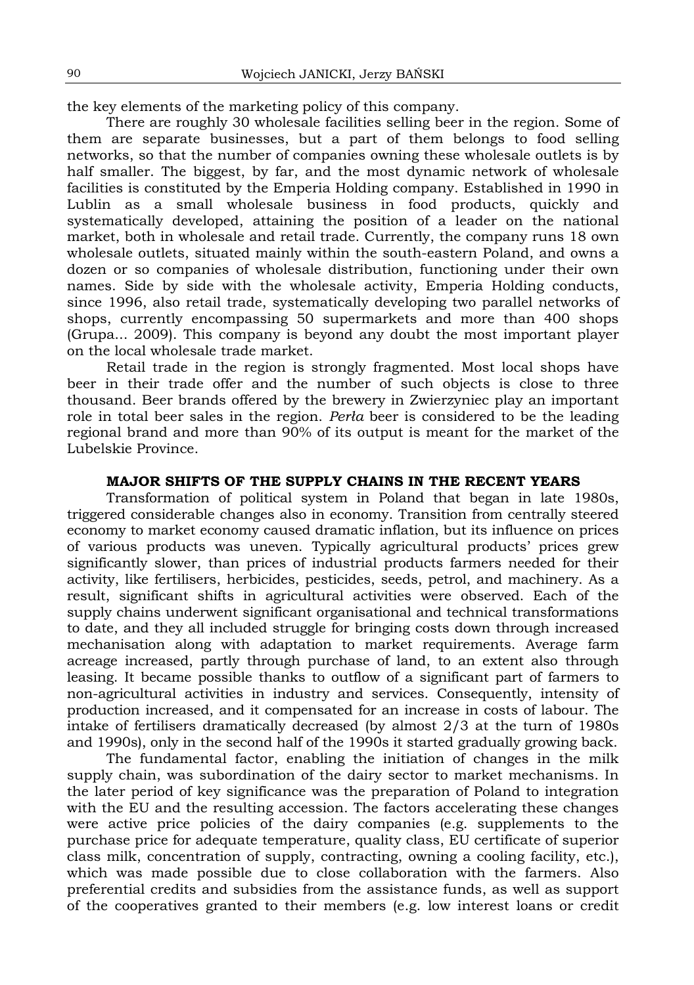the key elements of the marketing policy of this company.

There are roughly 30 wholesale facilities selling beer in the region. Some of them are separate businesses, but a part of them belongs to food selling networks, so that the number of companies owning these wholesale outlets is by half smaller. The biggest, by far, and the most dynamic network of wholesale facilities is constituted by the Emperia Holding company. Established in 1990 in Lublin as a small wholesale business in food products, quickly and systematically developed, attaining the position of a leader on the national market, both in wholesale and retail trade. Currently, the company runs 18 own wholesale outlets, situated mainly within the south-eastern Poland, and owns a dozen or so companies of wholesale distribution, functioning under their own names. Side by side with the wholesale activity, Emperia Holding conducts, since 1996, also retail trade, systematically developing two parallel networks of shops, currently encompassing 50 supermarkets and more than 400 shops [\(Grupa...](http://www.eldorado.pl/) 2009). This company is beyond any doubt the most important player on the local wholesale trade market.

Retail trade in the region is strongly fragmented. Most local shops have beer in their trade offer and the number of such objects is close to three thousand. Beer brands offered by the brewery in Zwierzyniec play an important role in total beer sales in the region. *Perła* beer is considered to be the leading regional brand and more than 90% of its output is meant for the market of the Lubelskie Province.

#### **MAJOR SHIFTS OF THE SUPPLY CHAINS IN THE RECENT YEARS**

Transformation of political system in Poland that began in late 1980s, triggered considerable changes also in economy. Transition from centrally steered economy to market economy caused dramatic inflation, but its influence on prices of various products was uneven. Typically agricultural products' prices grew significantly slower, than prices of industrial products farmers needed for their activity, like fertilisers, herbicides, pesticides, seeds, petrol, and machinery. As a result, significant shifts in agricultural activities were observed. Each of the supply chains underwent significant organisational and technical transformations to date, and they all included struggle for bringing costs down through increased mechanisation along with adaptation to market requirements. Average farm acreage increased, partly through purchase of land, to an extent also through leasing. It became possible thanks to outflow of a significant part of farmers to non-agricultural activities in industry and services. Consequently, intensity of production increased, and it compensated for an increase in costs of labour. The intake of fertilisers dramatically decreased (by almost 2/3 at the turn of 1980s and 1990s), only in the second half of the 1990s it started gradually growing back.

The fundamental factor, enabling the initiation of changes in the milk supply chain, was subordination of the dairy sector to market mechanisms. In the later period of key significance was the preparation of Poland to integration with the EU and the resulting accession. The factors accelerating these changes were active price policies of the dairy companies (e.g. supplements to the purchase price for adequate temperature, quality class, EU certificate of superior class milk, concentration of supply, contracting, owning a cooling facility, etc.), which was made possible due to close collaboration with the farmers. Also preferential credits and subsidies from the assistance funds, as well as support of the cooperatives granted to their members (e.g. low interest loans or credit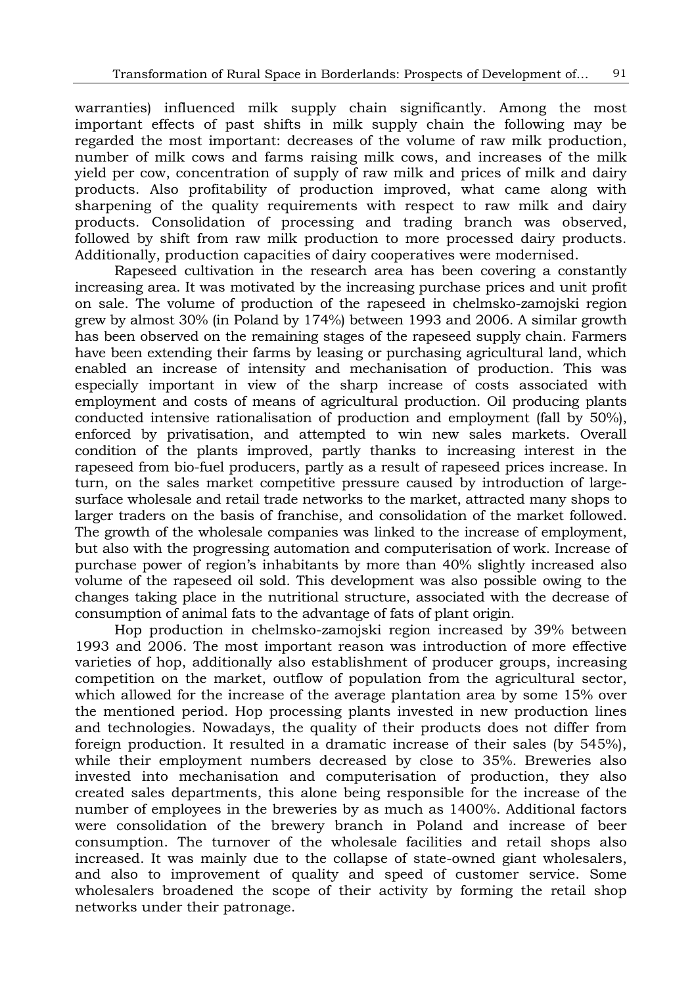warranties) influenced milk supply chain significantly. Among the most important effects of past shifts in milk supply chain the following may be regarded the most important: decreases of the volume of raw milk production, number of milk cows and farms raising milk cows, and increases of the milk yield per cow, concentration of supply of raw milk and prices of milk and dairy products. Also profitability of production improved, what came along with sharpening of the quality requirements with respect to raw milk and dairy products. Consolidation of processing and trading branch was observed, followed by shift from raw milk production to more processed dairy products. Additionally, production capacities of dairy cooperatives were modernised.

Rapeseed cultivation in the research area has been covering a constantly increasing area. It was motivated by the increasing purchase prices and unit profit on sale. The volume of production of the rapeseed in chelmsko-zamojski region grew by almost 30% (in Poland by 174%) between 1993 and 2006. A similar growth has been observed on the remaining stages of the rapeseed supply chain. Farmers have been extending their farms by leasing or purchasing agricultural land, which enabled an increase of intensity and mechanisation of production. This was especially important in view of the sharp increase of costs associated with employment and costs of means of agricultural production. Oil producing plants conducted intensive rationalisation of production and employment (fall by 50%), enforced by privatisation, and attempted to win new sales markets. Overall condition of the plants improved, partly thanks to increasing interest in the rapeseed from bio-fuel producers, partly as a result of rapeseed prices increase. In turn, on the sales market competitive pressure caused by introduction of largesurface wholesale and retail trade networks to the market, attracted many shops to larger traders on the basis of franchise, and consolidation of the market followed. The growth of the wholesale companies was linked to the increase of employment, but also with the progressing automation and computerisation of work. Increase of purchase power of region's inhabitants by more than 40% slightly increased also volume of the rapeseed oil sold. This development was also possible owing to the changes taking place in the nutritional structure, associated with the decrease of consumption of animal fats to the advantage of fats of plant origin.

Hop production in chelmsko-zamojski region increased by 39% between 1993 and 2006. The most important reason was introduction of more effective varieties of hop, additionally also establishment of producer groups, increasing competition on the market, outflow of population from the agricultural sector, which allowed for the increase of the average plantation area by some 15% over the mentioned period. Hop processing plants invested in new production lines and technologies. Nowadays, the quality of their products does not differ from foreign production. It resulted in a dramatic increase of their sales (by 545%), while their employment numbers decreased by close to 35%. Breweries also invested into mechanisation and computerisation of production, they also created sales departments, this alone being responsible for the increase of the number of employees in the breweries by as much as 1400%. Additional factors were consolidation of the brewery branch in Poland and increase of beer consumption. The turnover of the wholesale facilities and retail shops also increased. It was mainly due to the collapse of state-owned giant wholesalers, and also to improvement of quality and speed of customer service. Some wholesalers broadened the scope of their activity by forming the retail shop networks under their patronage.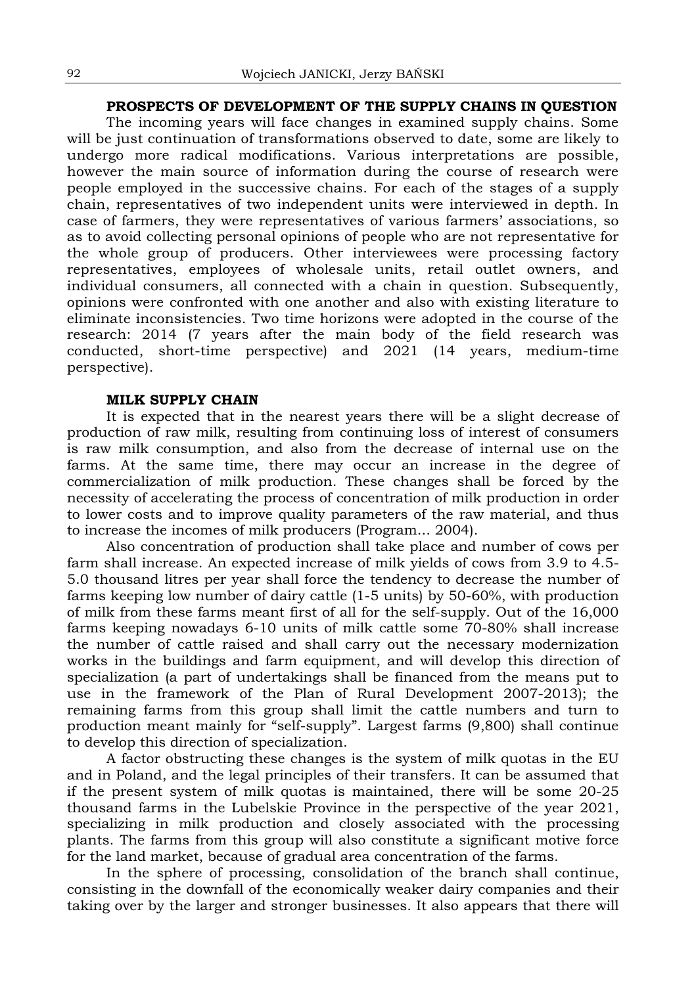## **PROSPECTS OF DEVELOPMENT OF THE SUPPLY CHAINS IN QUESTION**

The incoming years will face changes in examined supply chains. Some will be just continuation of transformations observed to date, some are likely to undergo more radical modifications. Various interpretations are possible, however the main source of information during the course of research were people employed in the successive chains. For each of the stages of a supply chain, representatives of two independent units were interviewed in depth. In case of farmers, they were representatives of various farmers' associations, so as to avoid collecting personal opinions of people who are not representative for the whole group of producers. Other interviewees were processing factory representatives, employees of wholesale units, retail outlet owners, and individual consumers, all connected with a chain in question. Subsequently, opinions were confronted with one another and also with existing literature to eliminate inconsistencies. Two time horizons were adopted in the course of the research: 2014 (7 years after the main body of the field research was conducted, short-time perspective) and 2021 (14 years, medium-time perspective).

#### **MILK SUPPLY CHAIN**

It is expected that in the nearest years there will be a slight decrease of production of raw milk, resulting from continuing loss of interest of consumers is raw milk consumption, and also from the decrease of internal use on the farms. At the same time, there may occur an increase in the degree of commercialization of milk production. These changes shall be forced by the necessity of accelerating the process of concentration of milk production in order to lower costs and to improve quality parameters of the raw material, and thus to increase the incomes of milk producers (Program... 2004).

Also concentration of production shall take place and number of cows per farm shall increase. An expected increase of milk yields of cows from 3.9 to 4.5- 5.0 thousand litres per year shall force the tendency to decrease the number of farms keeping low number of dairy cattle (1-5 units) by 50-60%, with production of milk from these farms meant first of all for the self-supply. Out of the 16,000 farms keeping nowadays 6-10 units of milk cattle some 70-80% shall increase the number of cattle raised and shall carry out the necessary modernization works in the buildings and farm equipment, and will develop this direction of specialization (a part of undertakings shall be financed from the means put to use in the framework of the Plan of Rural Development 2007-2013); the remaining farms from this group shall limit the cattle numbers and turn to production meant mainly for "self-supply". Largest farms (9,800) shall continue to develop this direction of specialization.

A factor obstructing these changes is the system of milk quotas in the EU and in Poland, and the legal principles of their transfers. It can be assumed that if the present system of milk quotas is maintained, there will be some 20-25 thousand farms in the Lubelskie Province in the perspective of the year 2021, specializing in milk production and closely associated with the processing plants. The farms from this group will also constitute a significant motive force for the land market, because of gradual area concentration of the farms.

In the sphere of processing, consolidation of the branch shall continue, consisting in the downfall of the economically weaker dairy companies and their taking over by the larger and stronger businesses. It also appears that there will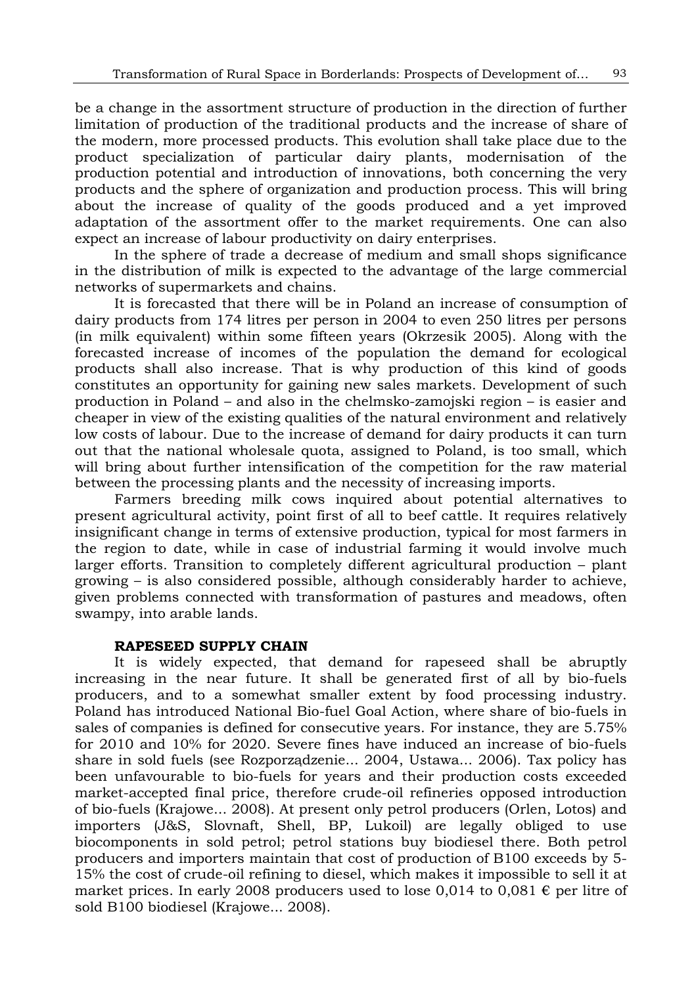be a change in the assortment structure of production in the direction of further limitation of production of the traditional products and the increase of share of the modern, more processed products. This evolution shall take place due to the product specialization of particular dairy plants, modernisation of the production potential and introduction of innovations, both concerning the very products and the sphere of organization and production process. This will bring about the increase of quality of the goods produced and a yet improved adaptation of the assortment offer to the market requirements. One can also expect an increase of labour productivity on dairy enterprises.

In the sphere of trade a decrease of medium and small shops significance in the distribution of milk is expected to the advantage of the large commercial networks of supermarkets and chains.

It is forecasted that there will be in Poland an increase of consumption of dairy products from 174 litres per person in 2004 to even 250 litres per persons (in milk equivalent) within some fifteen years (Okrzesik 2005). Along with the forecasted increase of incomes of the population the demand for ecological products shall also increase. That is why production of this kind of goods constitutes an opportunity for gaining new sales markets. Development of such production in Poland – and also in the chelmsko-zamojski region – is easier and cheaper in view of the existing qualities of the natural environment and relatively low costs of labour. Due to the increase of demand for dairy products it can turn out that the national wholesale quota, assigned to Poland, is too small, which will bring about further intensification of the competition for the raw material between the processing plants and the necessity of increasing imports.

Farmers breeding milk cows inquired about potential alternatives to present agricultural activity, point first of all to beef cattle. It requires relatively insignificant change in terms of extensive production, typical for most farmers in the region to date, while in case of industrial farming it would involve much larger efforts. Transition to completely different agricultural production – plant growing – is also considered possible, although considerably harder to achieve, given problems connected with transformation of pastures and meadows, often swampy, into arable lands.

#### **RAPESEED SUPPLY CHAIN**

It is widely expected, that demand for rapeseed shall be abruptly increasing in the near future. It shall be generated first of all by bio-fuels producers, and to a somewhat smaller extent by food processing industry. Poland has introduced National Bio-fuel Goal Action, where share of bio-fuels in sales of companies is defined for consecutive years. For instance, they are 5.75% for 2010 and 10% for 2020. Severe fines have induced an increase of bio-fuels share in sold fuels (see Rozporządzenie... 2004, Ustawa... 2006). Tax policy has been unfavourable to bio-fuels for years and their production costs exceeded market-accepted final price, therefore crude-oil refineries opposed introduction of bio-fuels (Krajowe... 2008). At present only petrol producers (Orlen, Lotos) and importers (J&S, Slovnaft, Shell, BP, Lukoil) are legally obliged to use biocomponents in sold petrol; petrol stations buy biodiesel there. Both petrol producers and importers maintain that cost of production of B100 exceeds by 5- 15% the cost of crude-oil refining to diesel, which makes it impossible to sell it at market prices. In early 2008 producers used to lose 0,014 to 0,081  $\epsilon$  per litre of sold B100 biodiesel (Krajowe... 2008).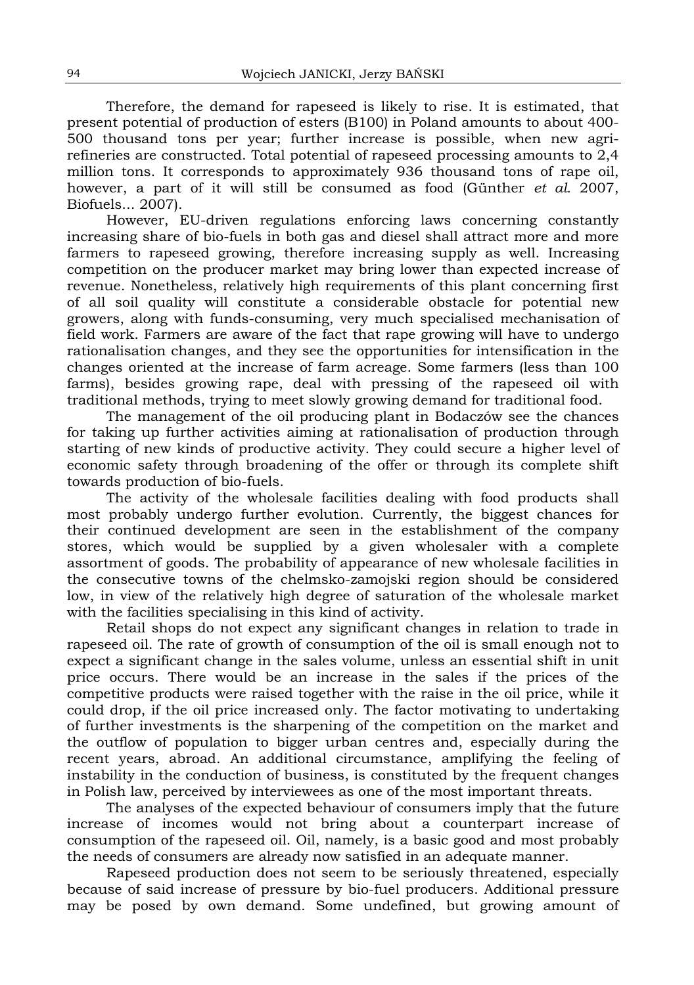Therefore, the demand for rapeseed is likely to rise. It is estimated, that present potential of production of esters (B100) in Poland amounts to about 400- 500 thousand tons per year; further increase is possible, when new agrirefineries are constructed. Total potential of rapeseed processing amounts to 2,4 million tons. It corresponds to approximately 936 thousand tons of rape oil, however, a part of it will still be consumed as food (Günther *et al.* 2007, Biofuels... 2007).

However, EU-driven regulations enforcing laws concerning constantly increasing share of bio-fuels in both gas and diesel shall attract more and more farmers to rapeseed growing, therefore increasing supply as well. Increasing competition on the producer market may bring lower than expected increase of revenue. Nonetheless, relatively high requirements of this plant concerning first of all soil quality will constitute a considerable obstacle for potential new growers, along with funds-consuming, very much specialised mechanisation of field work. Farmers are aware of the fact that rape growing will have to undergo rationalisation changes, and they see the opportunities for intensification in the changes oriented at the increase of farm acreage. Some farmers (less than 100 farms), besides growing rape, deal with pressing of the rapeseed oil with traditional methods, trying to meet slowly growing demand for traditional food.

The management of the oil producing plant in Bodaczów see the chances for taking up further activities aiming at rationalisation of production through starting of new kinds of productive activity. They could secure a higher level of economic safety through broadening of the offer or through its complete shift towards production of bio-fuels.

The activity of the wholesale facilities dealing with food products shall most probably undergo further evolution. Currently, the biggest chances for their continued development are seen in the establishment of the company stores, which would be supplied by a given wholesaler with a complete assortment of goods. The probability of appearance of new wholesale facilities in the consecutive towns of the chelmsko-zamojski region should be considered low, in view of the relatively high degree of saturation of the wholesale market with the facilities specialising in this kind of activity.

Retail shops do not expect any significant changes in relation to trade in rapeseed oil. The rate of growth of consumption of the oil is small enough not to expect a significant change in the sales volume, unless an essential shift in unit price occurs. There would be an increase in the sales if the prices of the competitive products were raised together with the raise in the oil price, while it could drop, if the oil price increased only. The factor motivating to undertaking of further investments is the sharpening of the competition on the market and the outflow of population to bigger urban centres and, especially during the recent years, abroad. An additional circumstance, amplifying the feeling of instability in the conduction of business, is constituted by the frequent changes in Polish law, perceived by interviewees as one of the most important threats.

The analyses of the expected behaviour of consumers imply that the future increase of incomes would not bring about a counterpart increase of consumption of the rapeseed oil. Oil, namely, is a basic good and most probably the needs of consumers are already now satisfied in an adequate manner.

Rapeseed production does not seem to be seriously threatened, especially because of said increase of pressure by bio-fuel producers. Additional pressure may be posed by own demand. Some undefined, but growing amount of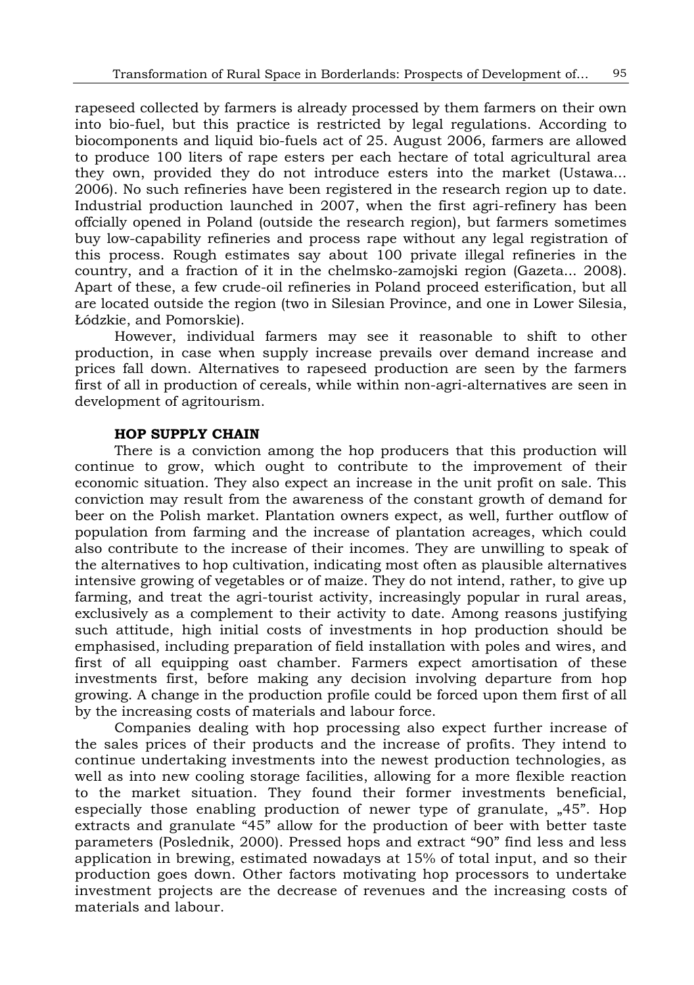rapeseed collected by farmers is already processed by them farmers on their own into bio-fuel, but this practice is restricted by legal regulations. According to biocomponents and liquid bio-fuels act of 25. August 2006, farmers are allowed to produce 100 liters of rape esters per each hectare of total agricultural area they own, provided they do not introduce esters into the market (Ustawa... 2006). No such refineries have been registered in the research region up to date. Industrial production launched in 2007, when the first agri-refinery has been offcially opened in Poland (outside the research region), but farmers sometimes buy low-capability refineries and process rape without any legal registration of this process. Rough estimates say about 100 private illegal refineries in the country, and a fraction of it in the chelmsko-zamojski region (Gazeta... 2008). Apart of these, a few crude-oil refineries in Poland proceed esterification, but all are located outside the region (two in Silesian Province, and one in Lower Silesia, Łódzkie, and Pomorskie).

However, individual farmers may see it reasonable to shift to other production, in case when supply increase prevails over demand increase and prices fall down. Alternatives to rapeseed production are seen by the farmers first of all in production of cereals, while within non-agri-alternatives are seen in development of agritourism.

#### **HOP SUPPLY CHAIN**

There is a conviction among the hop producers that this production will continue to grow, which ought to contribute to the improvement of their economic situation. They also expect an increase in the unit profit on sale. This conviction may result from the awareness of the constant growth of demand for beer on the Polish market. Plantation owners expect, as well, further outflow of population from farming and the increase of plantation acreages, which could also contribute to the increase of their incomes. They are unwilling to speak of the alternatives to hop cultivation, indicating most often as plausible alternatives intensive growing of vegetables or of maize. They do not intend, rather, to give up farming, and treat the agri-tourist activity, increasingly popular in rural areas, exclusively as a complement to their activity to date. Among reasons justifying such attitude, high initial costs of investments in hop production should be emphasised, including preparation of field installation with poles and wires, and first of all equipping oast chamber. Farmers expect amortisation of these investments first, before making any decision involving departure from hop growing. A change in the production profile could be forced upon them first of all by the increasing costs of materials and labour force.

Companies dealing with hop processing also expect further increase of the sales prices of their products and the increase of profits. They intend to continue undertaking investments into the newest production technologies, as well as into new cooling storage facilities, allowing for a more flexible reaction to the market situation. They found their former investments beneficial, especially those enabling production of newer type of granulate,  $*45$ . Hop extracts and granulate "45" allow for the production of beer with better taste parameters (Poslednik, 2000). Pressed hops and extract "90" find less and less application in brewing, estimated nowadays at 15% of total input, and so their production goes down. Other factors motivating hop processors to undertake investment projects are the decrease of revenues and the increasing costs of materials and labour.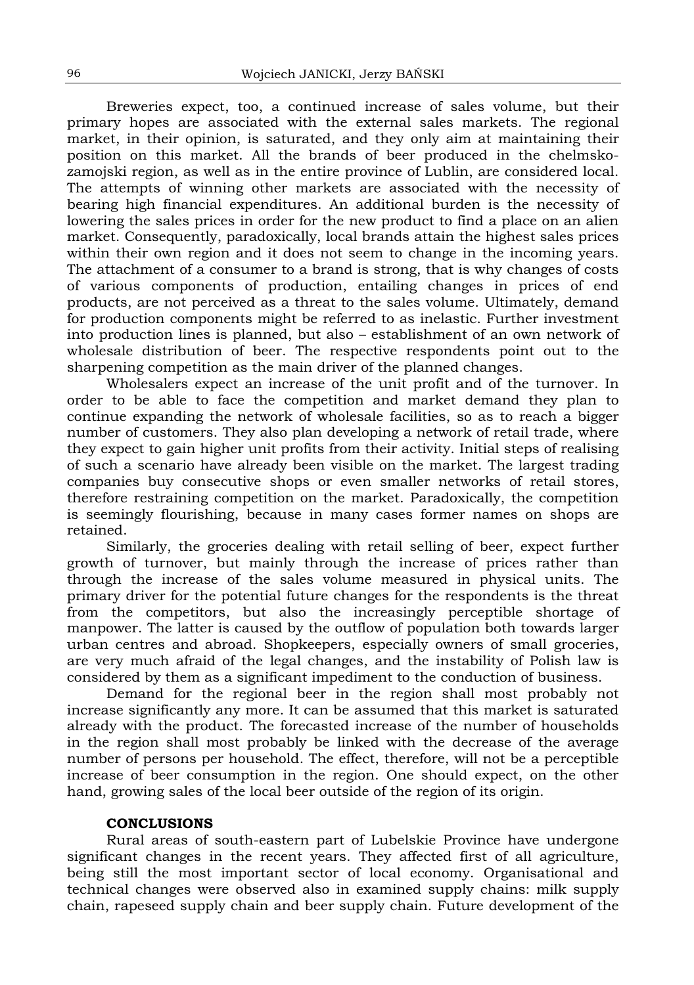Breweries expect, too, a continued increase of sales volume, but their primary hopes are associated with the external sales markets. The regional market, in their opinion, is saturated, and they only aim at maintaining their position on this market. All the brands of beer produced in the chelmskozamojski region, as well as in the entire province of Lublin, are considered local. The attempts of winning other markets are associated with the necessity of bearing high financial expenditures. An additional burden is the necessity of lowering the sales prices in order for the new product to find a place on an alien market. Consequently, paradoxically, local brands attain the highest sales prices within their own region and it does not seem to change in the incoming years. The attachment of a consumer to a brand is strong, that is why changes of costs of various components of production, entailing changes in prices of end products, are not perceived as a threat to the sales volume. Ultimately, demand for production components might be referred to as inelastic. Further investment into production lines is planned, but also – establishment of an own network of wholesale distribution of beer. The respective respondents point out to the sharpening competition as the main driver of the planned changes.

Wholesalers expect an increase of the unit profit and of the turnover. In order to be able to face the competition and market demand they plan to continue expanding the network of wholesale facilities, so as to reach a bigger number of customers. They also plan developing a network of retail trade, where they expect to gain higher unit profits from their activity. Initial steps of realising of such a scenario have already been visible on the market. The largest trading companies buy consecutive shops or even smaller networks of retail stores, therefore restraining competition on the market. Paradoxically, the competition is seemingly flourishing, because in many cases former names on shops are retained.

Similarly, the groceries dealing with retail selling of beer, expect further growth of turnover, but mainly through the increase of prices rather than through the increase of the sales volume measured in physical units. The primary driver for the potential future changes for the respondents is the threat from the competitors, but also the increasingly perceptible shortage of manpower. The latter is caused by the outflow of population both towards larger urban centres and abroad. Shopkeepers, especially owners of small groceries, are very much afraid of the legal changes, and the instability of Polish law is considered by them as a significant impediment to the conduction of business.

Demand for the regional beer in the region shall most probably not increase significantly any more. It can be assumed that this market is saturated already with the product. The forecasted increase of the number of households in the region shall most probably be linked with the decrease of the average number of persons per household. The effect, therefore, will not be a perceptible increase of beer consumption in the region. One should expect, on the other hand, growing sales of the local beer outside of the region of its origin.

#### **CONCLUSIONS**

Rural areas of south-eastern part of Lubelskie Province have undergone significant changes in the recent years. They affected first of all agriculture, being still the most important sector of local economy. Organisational and technical changes were observed also in examined supply chains: milk supply chain, rapeseed supply chain and beer supply chain. Future development of the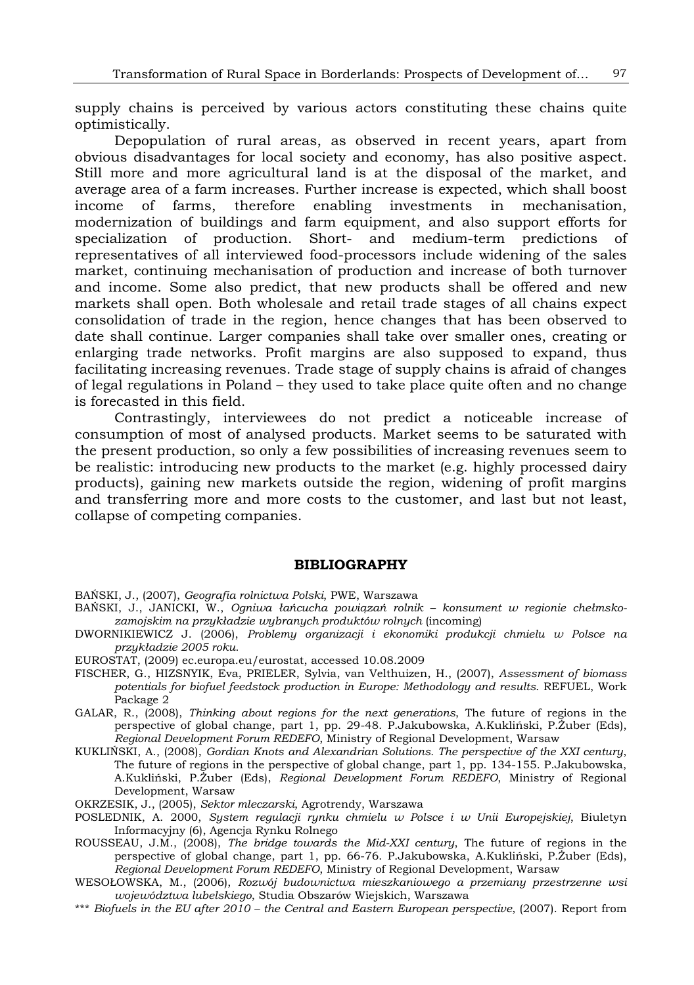supply chains is perceived by various actors constituting these chains quite optimistically.

Depopulation of rural areas, as observed in recent years, apart from obvious disadvantages for local society and economy, has also positive aspect. Still more and more agricultural land is at the disposal of the market, and average area of a farm increases. Further increase is expected, which shall boost income of farms, therefore enabling investments in mechanisation, modernization of buildings and farm equipment, and also support efforts for specialization of production. Short- and medium-term predictions of representatives of all interviewed food-processors include widening of the sales market, continuing mechanisation of production and increase of both turnover and income. Some also predict, that new products shall be offered and new markets shall open. Both wholesale and retail trade stages of all chains expect consolidation of trade in the region, hence changes that has been observed to date shall continue. Larger companies shall take over smaller ones, creating or enlarging trade networks. Profit margins are also supposed to expand, thus facilitating increasing revenues. Trade stage of supply chains is afraid of changes of legal regulations in Poland – they used to take place quite often and no change is forecasted in this field.

Contrastingly, interviewees do not predict a noticeable increase of consumption of most of analysed products. Market seems to be saturated with the present production, so only a few possibilities of increasing revenues seem to be realistic: introducing new products to the market (e.g. highly processed dairy products), gaining new markets outside the region, widening of profit margins and transferring more and more costs to the customer, and last but not least, collapse of competing companies.

#### **BIBLIOGRAPHY**

BAŃSKI, J., (2007), *Geografia rolnictwa Polski*, PWE, Warszawa

- BAŃSKI, J., JANICKI, W., *Ogniwa łańcucha powiązań rolnik konsument w regionie chełmskozamojskim na przykładzie wybranych produktów rolnych* (incoming)
- DWORNIKIEWICZ J. (2006), *Problemy organizacji i ekonomiki produkcji chmielu w Polsce na przykładzie 2005 roku*.
- EUROSTAT, (2009) ec.europa.eu/eurostat, accessed 10.08.2009
- FISCHER, G., HIZSNYIK, Eva, PRIELER, Sylvia, van Velthuizen, H., (2007), *Assessment of biomass potentials for biofuel feedstock production in Europe: Methodology and results*. REFUEL, Work Package 2
- GALAR, R., (2008), *Thinking about regions for the next generations*, The future of regions in the perspective of global change, part 1, pp. 29-48. P.Jakubowska, A.Kukliński, P.Żuber (Eds), *Regional Development Forum REDEFO*, Ministry of Regional Development, Warsaw
- KUKLIŃSKI, A., (2008), *Gordian Knots and Alexandrian Solutions. The perspective of the XXI century*, The future of regions in the perspective of global change, part 1, pp. 134-155. P.Jakubowska, A.Kukliński, P.Żuber (Eds), *Regional Development Forum REDEFO*, Ministry of Regional Development, Warsaw
- OKRZESIK, J., (2005), *Sektor mleczarski*, Agrotrendy, Warszawa
- POSLEDNIK, A. 2000, *System regulacji rynku chmielu w Polsce i w Unii Europejskiej*, Biuletyn Informacyjny (6), Agencja Rynku Rolnego
- ROUSSEAU, J.M., (2008), *The bridge towards the Mid-XXI century*, The future of regions in the perspective of global change, part 1, pp. 66-76. P.Jakubowska, A.Kukliński, P.Żuber (Eds), *Regional Development Forum REDEFO*, Ministry of Regional Development, Warsaw
- WESOŁOWSKA, M., (2006), *Rozwój budownictwa mieszkaniowego a przemiany przestrzenne wsi województwa lubelskiego*, Studia Obszarów Wiejskich, Warszawa
- \*\*\* *Biofuels in the EU after 2010 the Central and Eastern European perspective*, (2007). Report from